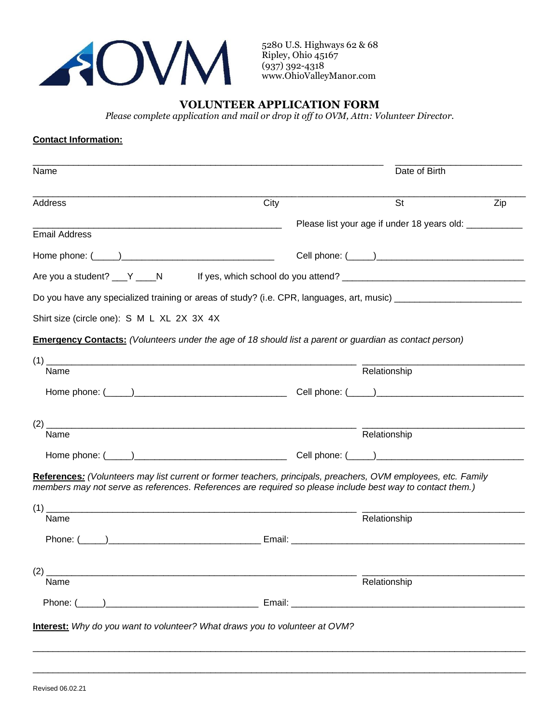

5280 U.S. Highways 62 & 68 Ripley, Ohio 45167 (937) 392-4318 www.OhioValleyManor.com

## **VOLUNTEER APPLICATION FORM**

*Please complete application and mail or drop it off to OVM, Attn: Volunteer Director.*

## **Contact Information:**

| Name                                                                                                           | Date of Birth                               |              |     |  |  |
|----------------------------------------------------------------------------------------------------------------|---------------------------------------------|--------------|-----|--|--|
| Address                                                                                                        | City                                        | St           | Zip |  |  |
|                                                                                                                | Please list your age if under 18 years old: |              |     |  |  |
| <b>Email Address</b>                                                                                           |                                             |              |     |  |  |
|                                                                                                                |                                             |              |     |  |  |
| Are you a student? ___ Y ____N                                                                                 |                                             |              |     |  |  |
| Do you have any specialized training or areas of study? (i.e. CPR, languages, art, music) ____________________ |                                             |              |     |  |  |
| Shirt size (circle one): S M L XL 2X 3X 4X                                                                     |                                             |              |     |  |  |
| <b>Emergency Contacts:</b> (Volunteers under the age of 18 should list a parent or guardian as contact person) |                                             |              |     |  |  |
|                                                                                                                |                                             |              |     |  |  |
| Name                                                                                                           |                                             | Relationship |     |  |  |
|                                                                                                                |                                             |              |     |  |  |
|                                                                                                                |                                             |              |     |  |  |
| Name                                                                                                           |                                             | Relationship |     |  |  |
|                                                                                                                |                                             |              |     |  |  |
| References: (Volunteers may list current or former teachers, principals, preachers, OVM employees, etc. Family |                                             |              |     |  |  |
| members may not serve as references. References are required so please include best way to contact them.)      |                                             |              |     |  |  |
| Name                                                                                                           |                                             | Relationship |     |  |  |
|                                                                                                                |                                             |              |     |  |  |
|                                                                                                                |                                             |              |     |  |  |
| (2)                                                                                                            |                                             |              |     |  |  |
| Name                                                                                                           |                                             | Relationship |     |  |  |
|                                                                                                                |                                             |              |     |  |  |
| Interest: Why do you want to volunteer? What draws you to volunteer at OVM?                                    |                                             |              |     |  |  |

 $\overline{\phantom{a}}$  , and the set of the set of the set of the set of the set of the set of the set of the set of the set of the set of the set of the set of the set of the set of the set of the set of the set of the set of the s

 $\overline{\phantom{a}}$  , and the set of the set of the set of the set of the set of the set of the set of the set of the set of the set of the set of the set of the set of the set of the set of the set of the set of the set of the s